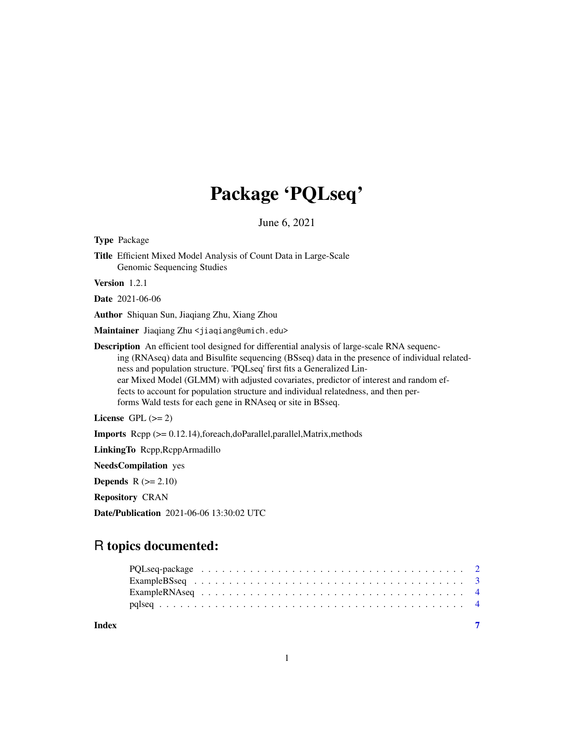# Package 'PQLseq'

June 6, 2021

| <b>Type Package</b>                                                                                                                                                                                                                                                                                                                                                                                                                                                                                                          |
|------------------------------------------------------------------------------------------------------------------------------------------------------------------------------------------------------------------------------------------------------------------------------------------------------------------------------------------------------------------------------------------------------------------------------------------------------------------------------------------------------------------------------|
| Title Efficient Mixed Model Analysis of Count Data in Large-Scale<br>Genomic Sequencing Studies                                                                                                                                                                                                                                                                                                                                                                                                                              |
| Version 1.2.1                                                                                                                                                                                                                                                                                                                                                                                                                                                                                                                |
| <b>Date</b> 2021-06-06                                                                                                                                                                                                                                                                                                                                                                                                                                                                                                       |
| Author Shiquan Sun, Jiaqiang Zhu, Xiang Zhou                                                                                                                                                                                                                                                                                                                                                                                                                                                                                 |
| Maintainer Jiaqiang Zhu <jiaqiang@umich.edu></jiaqiang@umich.edu>                                                                                                                                                                                                                                                                                                                                                                                                                                                            |
| <b>Description</b> An efficient tool designed for differential analysis of large-scale RNA sequenc-<br>ing (RNAseq) data and Bisulfite sequencing (BSseq) data in the presence of individual related-<br>ness and population structure. 'PQLseq' first fits a Generalized Lin-<br>ear Mixed Model (GLMM) with adjusted covariates, predictor of interest and random ef-<br>fects to account for population structure and individual relatedness, and then per-<br>forms Wald tests for each gene in RNAseq or site in BSseq. |
| License GPL $(>= 2)$                                                                                                                                                                                                                                                                                                                                                                                                                                                                                                         |
| <b>Imports</b> $\text{Repp}$ ( $>= 0.12.14$ ), for each, do Parallel, parallel, Matrix, methods                                                                                                                                                                                                                                                                                                                                                                                                                              |
| LinkingTo Rcpp, RcppArmadillo                                                                                                                                                                                                                                                                                                                                                                                                                                                                                                |
| <b>NeedsCompilation</b> yes                                                                                                                                                                                                                                                                                                                                                                                                                                                                                                  |
| <b>Depends</b> $R (= 2.10)$                                                                                                                                                                                                                                                                                                                                                                                                                                                                                                  |
| <b>Repository CRAN</b>                                                                                                                                                                                                                                                                                                                                                                                                                                                                                                       |
| <b>Date/Publication</b> 2021-06-06 13:30:02 UTC                                                                                                                                                                                                                                                                                                                                                                                                                                                                              |
|                                                                                                                                                                                                                                                                                                                                                                                                                                                                                                                              |
| R topics documented:                                                                                                                                                                                                                                                                                                                                                                                                                                                                                                         |

# PQLseq-package . . . . . . . . . . . . . . . . . . . . . . . . . . . . . . . . . . . . . . [2](#page-1-0) ExampleBSseq . . . . . . . . . . . . . . . . . . . . . . . . . . . . . . . . . . . . . . . [3](#page-2-0) ExampleRNAseq . . . . . . . . . . . . . . . . . . . . . . . . . . . . . . . . . . . . . . [4](#page-3-0) pqlseq . . . . . . . . . . . . . . . . . . . . . . . . . . . . . . . . . . . . . . . . . . . . [4](#page-3-0) **Index** [7](#page-6-0) **7**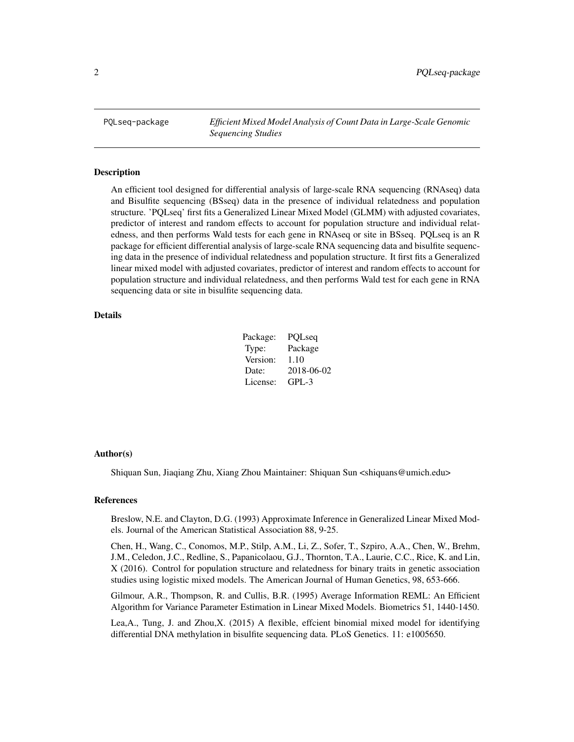<span id="page-1-0"></span>PQLseq-package *Efficient Mixed Model Analysis of Count Data in Large-Scale Genomic Sequencing Studies*

#### Description

An efficient tool designed for differential analysis of large-scale RNA sequencing (RNAseq) data and Bisulfite sequencing (BSseq) data in the presence of individual relatedness and population structure. 'PQLseq' first fits a Generalized Linear Mixed Model (GLMM) with adjusted covariates, predictor of interest and random effects to account for population structure and individual relatedness, and then performs Wald tests for each gene in RNAseq or site in BSseq. PQLseq is an R package for efficient differential analysis of large-scale RNA sequencing data and bisulfite sequencing data in the presence of individual relatedness and population structure. It first fits a Generalized linear mixed model with adjusted covariates, predictor of interest and random effects to account for population structure and individual relatedness, and then performs Wald test for each gene in RNA sequencing data or site in bisulfite sequencing data.

# Details

| Package: | PQLseq     |
|----------|------------|
| Type:    | Package    |
| Version: | 1.10       |
| Date:    | 2018-06-02 |
| License: | $GPI - 3$  |

#### Author(s)

Shiquan Sun, Jiaqiang Zhu, Xiang Zhou Maintainer: Shiquan Sun <shiquans@umich.edu>

# References

Breslow, N.E. and Clayton, D.G. (1993) Approximate Inference in Generalized Linear Mixed Models. Journal of the American Statistical Association 88, 9-25.

Chen, H., Wang, C., Conomos, M.P., Stilp, A.M., Li, Z., Sofer, T., Szpiro, A.A., Chen, W., Brehm, J.M., Celedon, J.C., Redline, S., Papanicolaou, G.J., Thornton, T.A., Laurie, C.C., Rice, K. and Lin, X (2016). Control for population structure and relatedness for binary traits in genetic association studies using logistic mixed models. The American Journal of Human Genetics, 98, 653-666.

Gilmour, A.R., Thompson, R. and Cullis, B.R. (1995) Average Information REML: An Efficient Algorithm for Variance Parameter Estimation in Linear Mixed Models. Biometrics 51, 1440-1450.

Lea,A., Tung, J. and Zhou,X. (2015) A flexible, effcient binomial mixed model for identifying differential DNA methylation in bisulfite sequencing data. PLoS Genetics. 11: e1005650.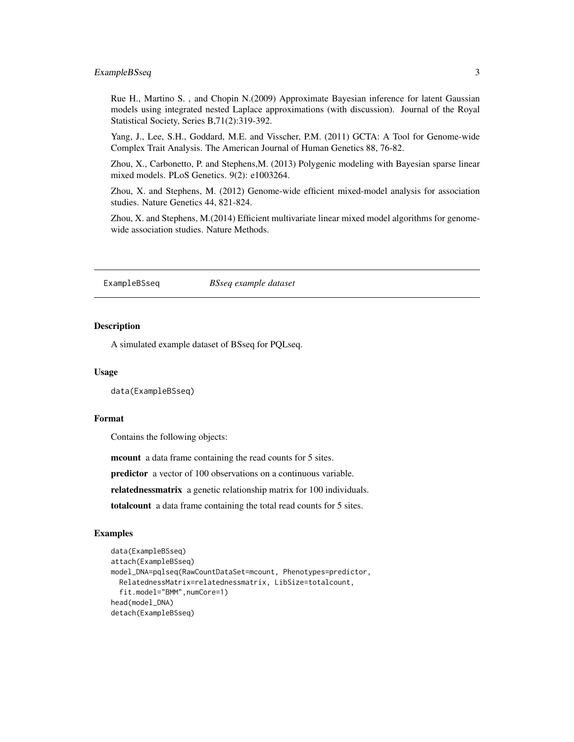# <span id="page-2-0"></span>ExampleBSseq 3

Rue H., Martino S. , and Chopin N.(2009) Approximate Bayesian inference for latent Gaussian models using integrated nested Laplace approximations (with discussion). Journal of the Royal Statistical Society, Series B,71(2):319-392.

Yang, J., Lee, S.H., Goddard, M.E. and Visscher, P.M. (2011) GCTA: A Tool for Genome-wide Complex Trait Analysis. The American Journal of Human Genetics 88, 76-82.

Zhou, X., Carbonetto, P. and Stephens,M. (2013) Polygenic modeling with Bayesian sparse linear mixed models. PLoS Genetics. 9(2): e1003264.

Zhou, X. and Stephens, M. (2012) Genome-wide efficient mixed-model analysis for association studies. Nature Genetics 44, 821-824.

Zhou, X. and Stephens, M.(2014) Efficient multivariate linear mixed model algorithms for genomewide association studies. Nature Methods.

ExampleBSseq *BSseq example dataset*

#### **Description**

A simulated example dataset of BSseq for PQLseq.

#### Usage

data(ExampleBSseq)

# Format

Contains the following objects:

mcount a data frame containing the read counts for 5 sites.

predictor a vector of 100 observations on a continuous variable.

relatednessmatrix a genetic relationship matrix for 100 individuals.

totalcount a data frame containing the total read counts for 5 sites.

#### Examples

```
data(ExampleBSseq)
attach(ExampleBSseq)
model_DNA=pqlseq(RawCountDataSet=mcount, Phenotypes=predictor,
 RelatednessMatrix=relatednessmatrix, LibSize=totalcount,
 fit.model="BMM",numCore=1)
head(model_DNA)
detach(ExampleBSseq)
```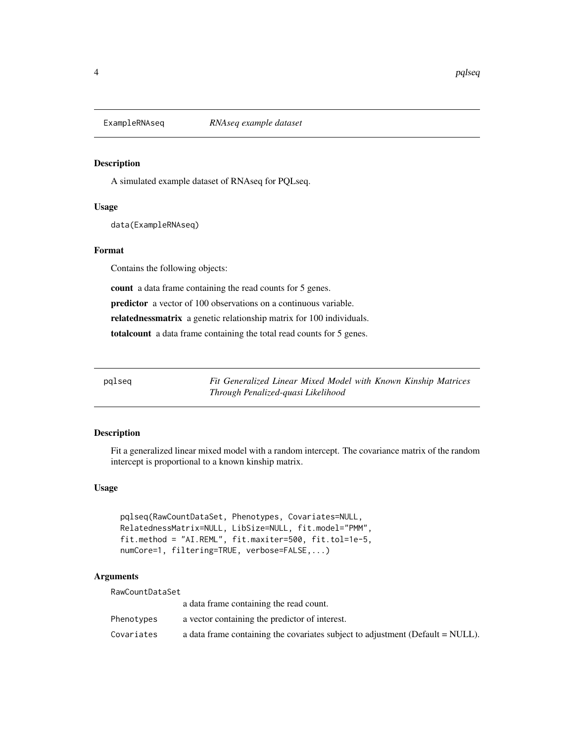<span id="page-3-0"></span>

### Description

A simulated example dataset of RNAseq for PQLseq.

# Usage

data(ExampleRNAseq)

# Format

Contains the following objects:

count a data frame containing the read counts for 5 genes.

predictor a vector of 100 observations on a continuous variable.

relatednessmatrix a genetic relationship matrix for 100 individuals.

totalcount a data frame containing the total read counts for 5 genes.

pqlseq *Fit Generalized Linear Mixed Model with Known Kinship Matrices Through Penalized-quasi Likelihood*

# Description

Fit a generalized linear mixed model with a random intercept. The covariance matrix of the random intercept is proportional to a known kinship matrix.

#### Usage

pqlseq(RawCountDataSet, Phenotypes, Covariates=NULL, RelatednessMatrix=NULL, LibSize=NULL, fit.model="PMM", fit.method = "AI.REML", fit.maxiter=500, fit.tol=1e-5, numCore=1, filtering=TRUE, verbose=FALSE,...)

### Arguments

RawCountDataSet

|            | a data frame containing the read count.                                          |
|------------|----------------------------------------------------------------------------------|
| Phenotvpes | a vector containing the predictor of interest.                                   |
| Covariates | a data frame containing the covariates subject to adjustment (Default $=$ NULL). |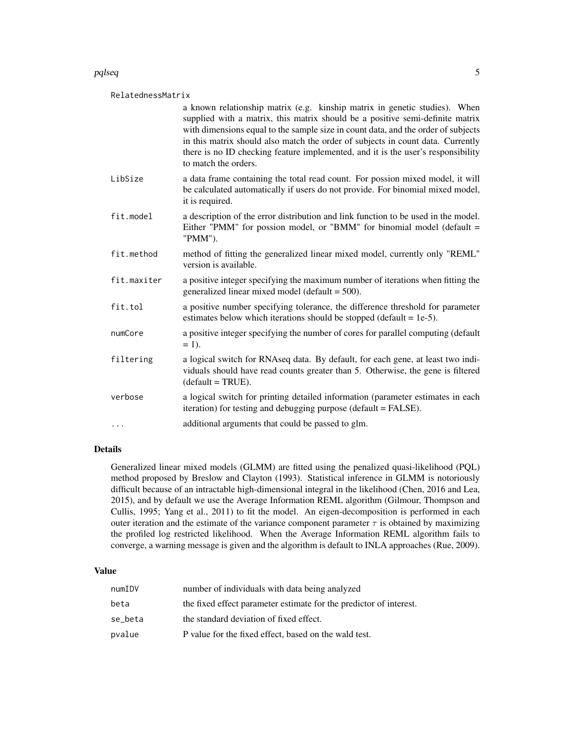## pqlseq 5

### RelatednessMatrix

|             | a known relationship matrix (e.g. kinship matrix in genetic studies). When<br>supplied with a matrix, this matrix should be a positive semi-definite matrix<br>with dimensions equal to the sample size in count data, and the order of subjects<br>in this matrix should also match the order of subjects in count data. Currently<br>there is no ID checking feature implemented, and it is the user's responsibility<br>to match the orders. |
|-------------|-------------------------------------------------------------------------------------------------------------------------------------------------------------------------------------------------------------------------------------------------------------------------------------------------------------------------------------------------------------------------------------------------------------------------------------------------|
| LibSize     | a data frame containing the total read count. For possion mixed model, it will<br>be calculated automatically if users do not provide. For binomial mixed model,<br>it is required.                                                                                                                                                                                                                                                             |
| fit.model   | a description of the error distribution and link function to be used in the model.<br>Either "PMM" for possion model, or "BMM" for binomial model (default =<br>"PMM").                                                                                                                                                                                                                                                                         |
| fit.method  | method of fitting the generalized linear mixed model, currently only "REML"<br>version is available.                                                                                                                                                                                                                                                                                                                                            |
| fit.maxiter | a positive integer specifying the maximum number of iterations when fitting the<br>generalized linear mixed model (default $=$ 500).                                                                                                                                                                                                                                                                                                            |
| fit.tol     | a positive number specifying tolerance, the difference threshold for parameter<br>estimates below which iterations should be stopped (default $= 1e-5$ ).                                                                                                                                                                                                                                                                                       |
| numCore     | a positive integer specifying the number of cores for parallel computing (default<br>$= 1$ .                                                                                                                                                                                                                                                                                                                                                    |
| filtering   | a logical switch for RNAseq data. By default, for each gene, at least two indi-<br>viduals should have read counts greater than 5. Otherwise, the gene is filtered<br>$(detault = TRUE).$                                                                                                                                                                                                                                                       |
| verbose     | a logical switch for printing detailed information (parameter estimates in each<br>iteration) for testing and debugging purpose (default = FALSE).                                                                                                                                                                                                                                                                                              |
| $\cdots$    | additional arguments that could be passed to glm.                                                                                                                                                                                                                                                                                                                                                                                               |

#### Details

Generalized linear mixed models (GLMM) are fitted using the penalized quasi-likelihood (PQL) method proposed by Breslow and Clayton (1993). Statistical inference in GLMM is notoriously difficult because of an intractable high-dimensional integral in the likelihood (Chen, 2016 and Lea, 2015), and by default we use the Average Information REML algorithm (Gilmour, Thompson and Cullis, 1995; Yang et al., 2011) to fit the model. An eigen-decomposition is performed in each outer iteration and the estimate of the variance component parameter  $\tau$  is obtained by maximizing the profiled log restricted likelihood. When the Average Information REML algorithm fails to converge, a warning message is given and the algorithm is default to INLA approaches (Rue, 2009).

# Value

| numIDV  | number of individuals with data being analyzed                     |
|---------|--------------------------------------------------------------------|
| beta    | the fixed effect parameter estimate for the predictor of interest. |
| se_beta | the standard deviation of fixed effect.                            |
| pvalue  | P value for the fixed effect, based on the wald test.              |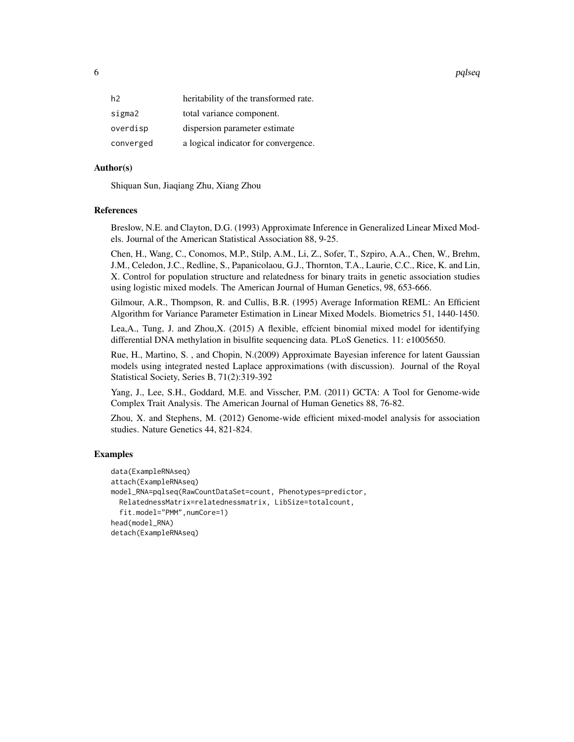6 pqlseq particles are the contract of the contract of the contract of the contract of the contract of the contract of the contract of the contract of the contract of the contract of the contract of the contract of the con

| h <sub>2</sub> | heritability of the transformed rate. |
|----------------|---------------------------------------|
| sigma2         | total variance component.             |
| overdisp       | dispersion parameter estimate         |
| converged      | a logical indicator for convergence.  |

#### Author(s)

Shiquan Sun, Jiaqiang Zhu, Xiang Zhou

#### References

Breslow, N.E. and Clayton, D.G. (1993) Approximate Inference in Generalized Linear Mixed Models. Journal of the American Statistical Association 88, 9-25.

Chen, H., Wang, C., Conomos, M.P., Stilp, A.M., Li, Z., Sofer, T., Szpiro, A.A., Chen, W., Brehm, J.M., Celedon, J.C., Redline, S., Papanicolaou, G.J., Thornton, T.A., Laurie, C.C., Rice, K. and Lin, X. Control for population structure and relatedness for binary traits in genetic association studies using logistic mixed models. The American Journal of Human Genetics, 98, 653-666.

Gilmour, A.R., Thompson, R. and Cullis, B.R. (1995) Average Information REML: An Efficient Algorithm for Variance Parameter Estimation in Linear Mixed Models. Biometrics 51, 1440-1450.

Lea,A., Tung, J. and Zhou,X. (2015) A flexible, effcient binomial mixed model for identifying differential DNA methylation in bisulfite sequencing data. PLoS Genetics. 11: e1005650.

Rue, H., Martino, S. , and Chopin, N.(2009) Approximate Bayesian inference for latent Gaussian models using integrated nested Laplace approximations (with discussion). Journal of the Royal Statistical Society, Series B, 71(2):319-392

Yang, J., Lee, S.H., Goddard, M.E. and Visscher, P.M. (2011) GCTA: A Tool for Genome-wide Complex Trait Analysis. The American Journal of Human Genetics 88, 76-82.

Zhou, X. and Stephens, M. (2012) Genome-wide efficient mixed-model analysis for association studies. Nature Genetics 44, 821-824.

#### Examples

```
data(ExampleRNAseq)
attach(ExampleRNAseq)
model_RNA=pqlseq(RawCountDataSet=count, Phenotypes=predictor,
 RelatednessMatrix=relatednessmatrix, LibSize=totalcount,
 fit.model="PMM",numCore=1)
head(model_RNA)
detach(ExampleRNAseq)
```